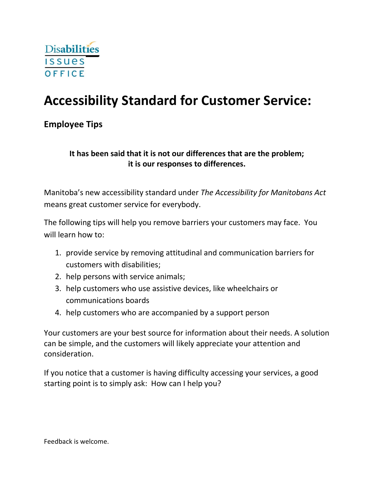

# **Accessibility Standard for Customer Service:**

**Employee Tips**

## **It has been said that it is not our differences that are the problem; it is our responses to differences.**

Manitoba's new accessibility standard under *The Accessibility for Manitobans Act* means great customer service for everybody.

The following tips will help you remove barriers your customers may face. You will learn how to:

- 1. provide service by removing attitudinal and communication barriers for customers with disabilities;
- 2. help persons with service animals;
- 3. help customers who use assistive devices, like wheelchairs or communications boards
- 4. help customers who are accompanied by a support person

Your customers are your best source for information about their needs. A solution can be simple, and the customers will likely appreciate your attention and consideration.

If you notice that a customer is having difficulty accessing your services, a good starting point is to simply ask: How can I help you?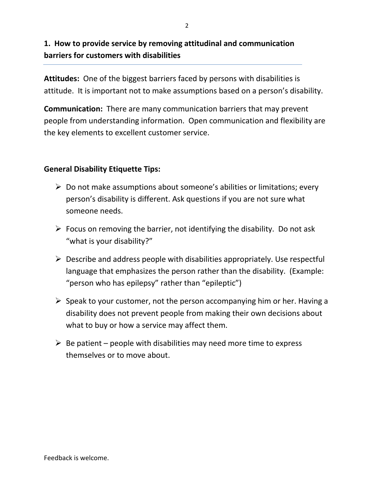# **1. How to provide service by removing attitudinal and communication barriers for customers with disabilities**

**Attitudes:** One of the biggest barriers faced by persons with disabilities is attitude. It is important not to make assumptions based on a person's disability.

**Communication:** There are many communication barriers that may prevent people from understanding information. Open communication and flexibility are the key elements to excellent customer service.

## **General Disability Etiquette Tips:**

- $\triangleright$  Do not make assumptions about someone's abilities or limitations; every person's disability is different. Ask questions if you are not sure what someone needs.
- $\triangleright$  Focus on removing the barrier, not identifying the disability. Do not ask "what is your disability?"
- $\triangleright$  Describe and address people with disabilities appropriately. Use respectful language that emphasizes the person rather than the disability. (Example: "person who has epilepsy" rather than "epileptic")
- $\triangleright$  Speak to your customer, not the person accompanying him or her. Having a disability does not prevent people from making their own decisions about what to buy or how a service may affect them.
- $\triangleright$  Be patient people with disabilities may need more time to express themselves or to move about.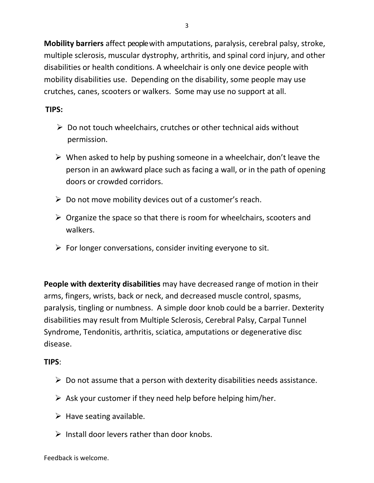**Mobility barriers** affect people with amputations, paralysis, cerebral palsy, stroke, multiple sclerosis, muscular dystrophy, arthritis, and spinal cord injury, and other disabilities or health conditions. A wheelchair is only one device people with mobility disabilities use. Depending on the disability, some people may use crutches, canes, scooters or walkers. Some may use no support at all.

#### **TIPS:**

- $\triangleright$  Do not touch wheelchairs, crutches or other technical aids without permission.
- $\triangleright$  When asked to help by pushing someone in a wheelchair, don't leave the person in an awkward place such as facing a wall, or in the path of opening doors or crowded corridors.
- $\triangleright$  Do not move mobility devices out of a customer's reach.
- $\triangleright$  Organize the space so that there is room for wheelchairs, scooters and walkers.
- $\triangleright$  For longer conversations, consider inviting everyone to sit.

**People with dexterity disabilities** may have decreased range of motion in their arms, fingers, wrists, back or neck, and decreased muscle control, spasms, paralysis, tingling or numbness. A simple door knob could be a barrier. Dexterity disabilities may result from Multiple Sclerosis, Cerebral Palsy, Carpal Tunnel Syndrome, Tendonitis, arthritis, sciatica, amputations or degenerative disc disease.

- $\triangleright$  Do not assume that a person with dexterity disabilities needs assistance.
- $\triangleright$  Ask your customer if they need help before helping him/her.
- $\triangleright$  Have seating available.
- $\triangleright$  Install door levers rather than door knobs.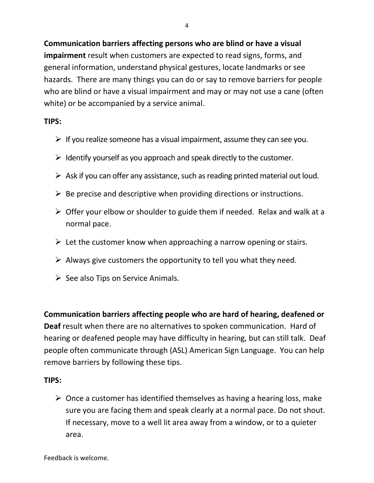**Communication barriers affecting persons who are blind or have a visual impairment** result when customers are expected to read signs, forms, and general information, understand physical gestures, locate landmarks or see hazards. There are many things you can do or say to remove barriers for people who are blind or have a visual impairment and may or may not use a cane (often white) or be accompanied by a service animal.

## **TIPS:**

- $\triangleright$  If you realize someone has a visual impairment, assume they can see you.
- $\triangleright$  Identify yourself as you approach and speak directly to the customer.
- $\triangleright$  Ask if you can offer any assistance, such as reading printed material out loud.
- $\triangleright$  Be precise and descriptive when providing directions or instructions.
- $\triangleright$  Offer your elbow or shoulder to guide them if needed. Relax and walk at a normal pace.
- $\triangleright$  Let the customer know when approaching a narrow opening or stairs.
- $\triangleright$  Always give customers the opportunity to tell you what they need.
- $\triangleright$  See also Tips on Service Animals.

**Communication barriers affecting people who are hard of hearing, deafened or Deaf** result when there are no alternatives to spoken communication. Hard of hearing or deafened people may have difficulty in hearing, but can still talk. Deaf people often communicate through (ASL) American Sign Language. You can help remove barriers by following these tips.

## **TIPS:**

 $\triangleright$  Once a customer has identified themselves as having a hearing loss, make sure you are facing them and speak clearly at a normal pace. Do not shout. If necessary, move to a well lit area away from a window, or to a quieter area.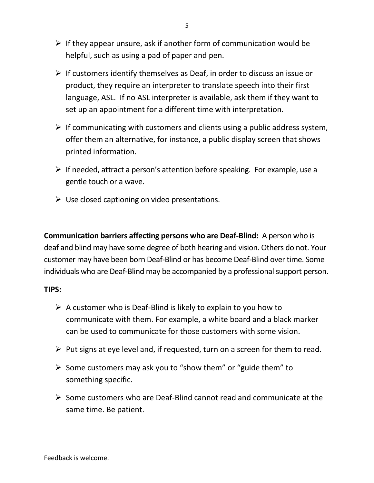- $\triangleright$  If they appear unsure, ask if another form of communication would be helpful, such as using a pad of paper and pen.
- $\triangleright$  If customers identify themselves as Deaf, in order to discuss an issue or product, they require an interpreter to translate speech into their first language, ASL. If no ASL interpreter is available, ask them if they want to set up an appointment for a different time with interpretation.
- $\triangleright$  If communicating with customers and clients using a public address system, offer them an alternative, for instance, a public display screen that shows printed information.
- $\triangleright$  If needed, attract a person's attention before speaking. For example, use a gentle touch or a wave.
- $\triangleright$  Use closed captioning on video presentations.

**Communication barriers affecting persons who are Deaf-Blind:** A person who is deaf and blind may have some degree of both hearing and vision. Others do not. Your customer may have been born Deaf-Blind or has become Deaf-Blind over time. Some individuals who are Deaf-Blind may be accompanied by a professional support person.

- $\triangleright$  A customer who is Deaf-Blind is likely to explain to you how to communicate with them. For example, a white board and a black marker can be used to communicate for those customers with some vision.
- $\triangleright$  Put signs at eye level and, if requested, turn on a screen for them to read.
- $\triangleright$  Some customers may ask you to "show them" or "guide them" to something specific.
- $\triangleright$  Some customers who are Deaf-Blind cannot read and communicate at the same time. Be patient.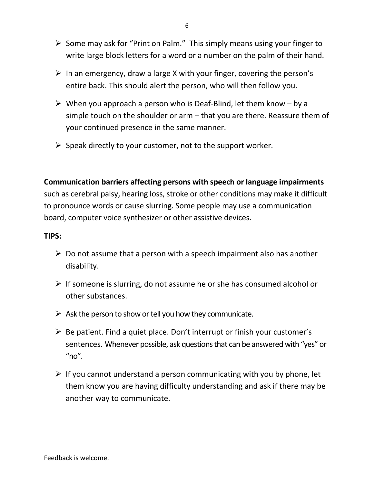- $\triangleright$  Some may ask for "Print on Palm." This simply means using your finger to write large block letters for a word or a number on the palm of their hand.
- $\triangleright$  In an emergency, draw a large X with your finger, covering the person's entire back. This should alert the person, who will then follow you.
- $\triangleright$  When you approach a person who is Deaf-Blind, let them know by a simple touch on the shoulder or arm – that you are there. Reassure them of your continued presence in the same manner.
- $\triangleright$  Speak directly to your customer, not to the support worker.

## **Communication barriers affecting persons with speech or language impairments**

such as cerebral palsy, hearing loss, stroke or other conditions may make it difficult to pronounce words or cause slurring. Some people may use a communication board, computer voice synthesizer or other assistive devices.

- $\triangleright$  Do not assume that a person with a speech impairment also has another disability.
- $\triangleright$  If someone is slurring, do not assume he or she has consumed alcohol or other substances.
- $\triangleright$  Ask the person to show or tell you how they communicate.
- $\triangleright$  Be patient. Find a quiet place. Don't interrupt or finish your customer's sentences. Whenever possible, ask questions that can be answered with "yes" or " $no$ ".
- $\triangleright$  If you cannot understand a person communicating with you by phone, let them know you are having difficulty understanding and ask if there may be another way to communicate.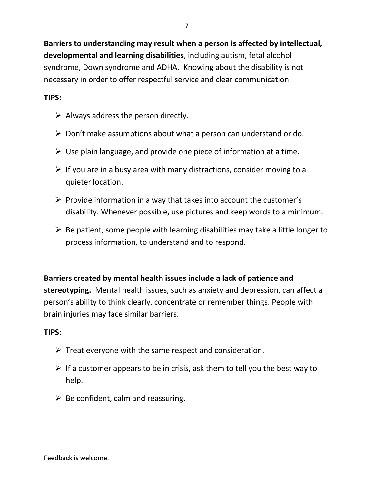**Barriers to understanding may result when a person is affected by intellectual, developmental and learning disabilities**, including autism, fetal alcohol syndrome, Down syndrome and ADHA**.** Knowing about the disability is not necessary in order to offer respectful service and clear communication.

## **TIPS:**

- $\triangleright$  Always address the person directly.
- $\triangleright$  Don't make assumptions about what a person can understand or do.
- $\triangleright$  Use plain language, and provide one piece of information at a time.
- $\triangleright$  If you are in a busy area with many distractions, consider moving to a quieter location.
- $\triangleright$  Provide information in a way that takes into account the customer's disability. Whenever possible, use pictures and keep words to a minimum.
- $\triangleright$  Be patient, some people with learning disabilities may take a little longer to process information, to understand and to respond.

## **Barriers created by mental health issues include a lack of patience and**

**stereotyping.** Mental health issues, such as anxiety and depression, can affect a person's ability to think clearly, concentrate or remember things. People with brain injuries may face similar barriers.

- $\triangleright$  Treat everyone with the same respect and consideration.
- $\triangleright$  If a customer appears to be in crisis, ask them to tell you the best way to help.
- $\triangleright$  Be confident, calm and reassuring.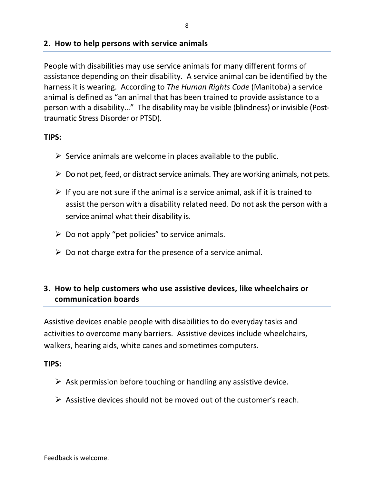#### **2. How to help persons with service animals**

People with disabilities may use service animals for many different forms of assistance depending on their disability. A service animal can be identified by the harness it is wearing. According to *The Human Rights Code* (Manitoba) a service animal is defined as "an animal that has been trained to provide assistance to a person with a disability…" The disability may be visible (blindness) or invisible (Posttraumatic Stress Disorder or PTSD).

#### **TIPS:**

- $\triangleright$  Service animals are welcome in places available to the public.
- $\triangleright$  Do not pet, feed, or distract service animals. They are working animals, not pets.
- $\triangleright$  If you are not sure if the animal is a service animal, ask if it is trained to assist the person with a disability related need. Do not ask the person with a service animal what their disability is.
- $\triangleright$  Do not apply "pet policies" to service animals.
- $\triangleright$  Do not charge extra for the presence of a service animal.

## **3. How to help customers who use assistive devices, like wheelchairs or communication boards**

Assistive devices enable people with disabilities to do everyday tasks and activities to overcome many barriers. Assistive devices include wheelchairs, walkers, hearing aids, white canes and sometimes computers.

- $\triangleright$  Ask permission before touching or handling any assistive device.
- $\triangleright$  Assistive devices should not be moved out of the customer's reach.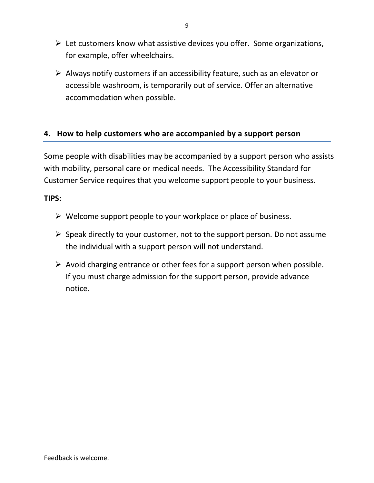- $\triangleright$  Let customers know what assistive devices you offer. Some organizations, for example, offer wheelchairs.
- $\triangleright$  Always notify customers if an accessibility feature, such as an elevator or accessible washroom, is temporarily out of service. Offer an alternative accommodation when possible.

## **4. How to help customers who are accompanied by a support person**

Some people with disabilities may be accompanied by a support person who assists with mobility, personal care or medical needs. The Accessibility Standard for Customer Service requires that you welcome support people to your business.

- $\triangleright$  Welcome support people to your workplace or place of business.
- $\triangleright$  Speak directly to your customer, not to the support person. Do not assume the individual with a support person will not understand.
- $\triangleright$  Avoid charging entrance or other fees for a support person when possible. If you must charge admission for the support person, provide advance notice.